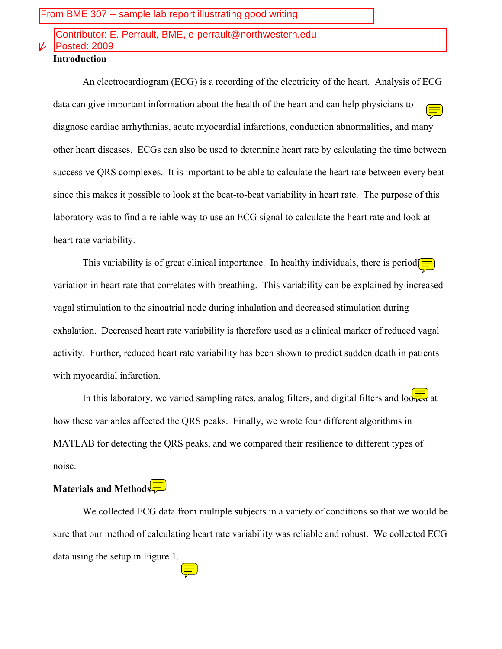# Contributor: E. Perrault, BME, e-perrault@northwestern.edu Posted: 2009

### **Introduction**

An electrocardiogram (ECG) is a recording of the electricity of the heart. Analysis of ECG data can give important information about the health of the heart and can help physicians to diagnose cardiac arrhythmias, acute myocardial infarctions, conduction abnormalities, and many other heart diseases. ECGs can also be used to determine heart rate by calculating the time between successive QRS complexes. It is important to be able to calculate the heart rate between every beat since this makes it possible to look at the beat-to-beat variability in heart rate. The purpose of this laboratory was to find a reliable way to use an ECG signal to calculate the heart rate and look at heart rate variability.

This variability is of great clinical importance. In healthy individuals, there is period $\boxed{\equiv}$ variation in heart rate that correlates with breathing. This variability can be explained by increased vagal stimulation to the sinoatrial node during inhalation and decreased stimulation during exhalation. Decreased heart rate variability is therefore used as a clinical marker of reduced vagal activity. Further, reduced heart rate variability has been shown to predict sudden death in patients with myocardial infarction.

In this laboratory, we varied sampling rates, analog filters, and digital filters and looked at how these variables affected the QRS peaks. Finally, we wrote four different algorithms in MATLAB for detecting the QRS peaks, and we compared their resilience to different types of noise.

# **Materials and Methods**

We collected ECG data from multiple subjects in a variety of conditions so that we would be sure that our method of calculating heart rate variability was reliable and robust. We collected ECG data using the setup in Figure 1.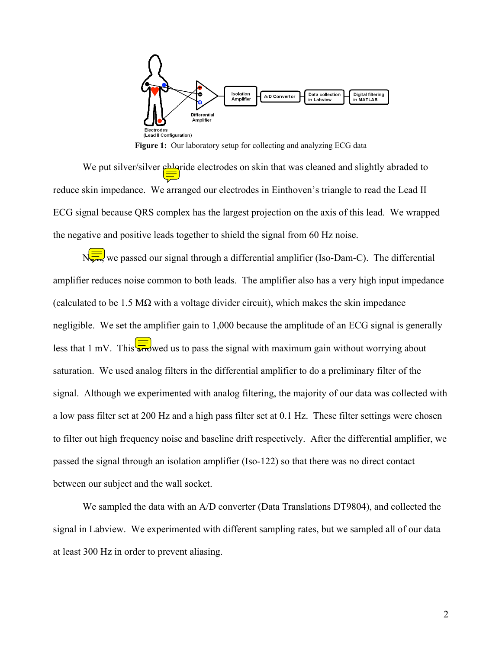

**Figure 1:** Our laboratory setup for collecting and analyzing ECG data

We put silver/silver *chlaride* electrodes on skin that was cleaned and slightly abraded to reduce skin impedance. We arranged our electrodes in Einthoven's triangle to read the Lead II ECG signal because QRS complex has the largest projection on the axis of this lead. We wrapped the negative and positive leads together to shield the signal from 60 Hz noise.

N<sub>tra</sub>, we passed our signal through a differential amplifier (Iso-Dam-C). The differential amplifier reduces noise common to both leads. The amplifier also has a very high input impedance (calculated to be 1.5 M $\Omega$  with a voltage divider circuit), which makes the skin impedance negligible. We set the amplifier gain to 1,000 because the amplitude of an ECG signal is generally less that 1 mV. This  $\sqrt{\frac{1}{2}}$  wed us to pass the signal with maximum gain without worrying about saturation. We used analog filters in the differential amplifier to do a preliminary filter of the signal. Although we experimented with analog filtering, the majority of our data was collected with a low pass filter set at 200 Hz and a high pass filter set at 0.1 Hz. These filter settings were chosen to filter out high frequency noise and baseline drift respectively. After the differential amplifier, we passed the signal through an isolation amplifier (Iso-122) so that there was no direct contact between our subject and the wall socket.

We sampled the data with an A/D converter (Data Translations DT9804), and collected the signal in Labview. We experimented with different sampling rates, but we sampled all of our data at least 300 Hz in order to prevent aliasing.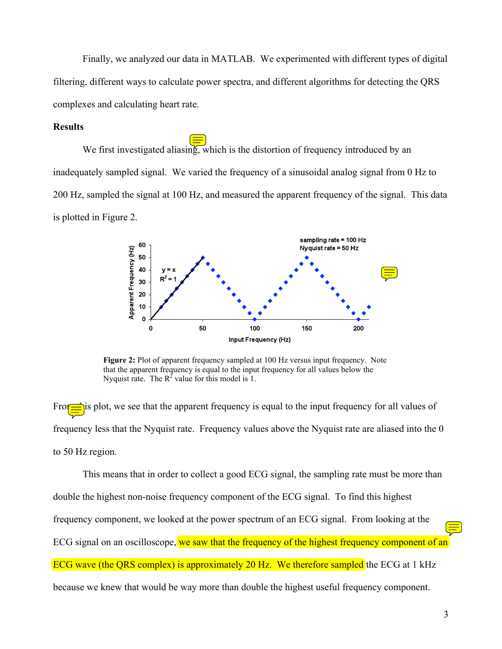Finally, we analyzed our data in MATLAB. We experimented with different types of digital filtering, different ways to calculate power spectra, and different algorithms for detecting the QRS complexes and calculating heart rate.

### **Results**

We first investigated aliasing, which is the distortion of frequency introduced by an inadequately sampled signal. We varied the frequency of a sinusoidal analog signal from 0 Hz to 200 Hz, sampled the signal at 100 Hz, and measured the apparent frequency of the signal. This data is plotted in Figure 2.



Figure 2: Plot of apparent frequency sampled at 100 Hz versus input frequency. Note that the apparent frequency is equal to the input frequency for all values below the Nyquist rate. The  $R^2$  value for this model is 1.

From  $\Rightarrow$  is plot, we see that the apparent frequency is equal to the input frequency for all values of frequency less that the Nyquist rate. Frequency values above the Nyquist rate are aliased into the 0 to 50 Hz region.

This means that in order to collect a good ECG signal, the sampling rate must be more than double the highest non-noise frequency component of the ECG signal. To find this highest frequency component, we looked at the power spectrum of an ECG signal. From looking at the ECG signal on an oscilloscope, we saw that the frequency of the highest frequency component of an ECG wave (the QRS complex) is approximately 20 Hz. We therefore sampled the ECG at 1 kHz because we knew that would be way more than double the highest useful frequency component.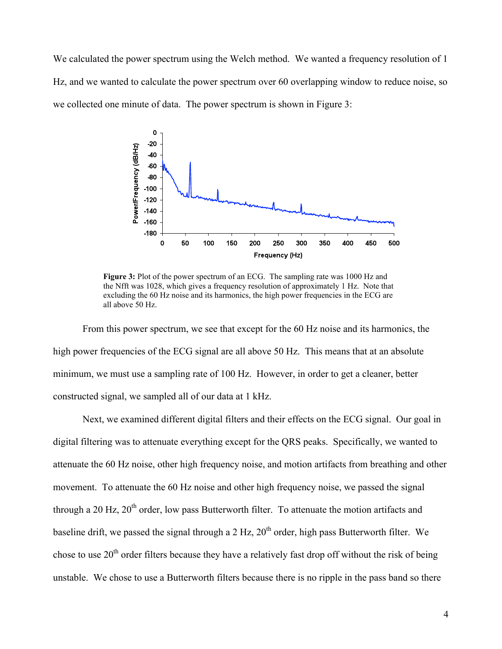We calculated the power spectrum using the Welch method. We wanted a frequency resolution of 1 Hz, and we wanted to calculate the power spectrum over 60 overlapping window to reduce noise, so we collected one minute of data. The power spectrum is shown in Figure 3:



**Figure 3:** Plot of the power spectrum of an ECG. The sampling rate was 1000 Hz and the Nfft was 1028, which gives a frequency resolution of approximately 1 Hz. Note that excluding the 60 Hz noise and its harmonics, the high power frequencies in the ECG are all above 50 Hz.

From this power spectrum, we see that except for the 60 Hz noise and its harmonics, the high power frequencies of the ECG signal are all above 50 Hz. This means that at an absolute minimum, we must use a sampling rate of 100 Hz. However, in order to get a cleaner, better constructed signal, we sampled all of our data at 1 kHz.

Next, we examined different digital filters and their effects on the ECG signal. Our goal in digital filtering was to attenuate everything except for the QRS peaks. Specifically, we wanted to attenuate the 60 Hz noise, other high frequency noise, and motion artifacts from breathing and other movement. To attenuate the 60 Hz noise and other high frequency noise, we passed the signal through a 20 Hz,  $20<sup>th</sup>$  order, low pass Butterworth filter. To attenuate the motion artifacts and baseline drift, we passed the signal through a 2 Hz,  $20<sup>th</sup>$  order, high pass Butterworth filter. We chose to use  $20<sup>th</sup>$  order filters because they have a relatively fast drop off without the risk of being unstable. We chose to use a Butterworth filters because there is no ripple in the pass band so there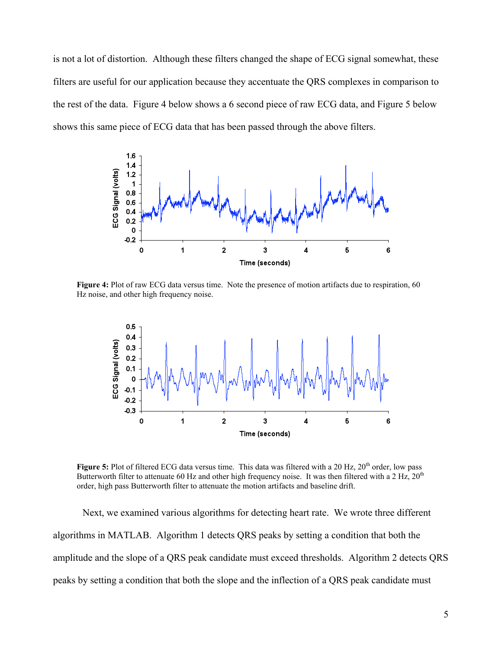is not a lot of distortion. Although these filters changed the shape of ECG signal somewhat, these filters are useful for our application because they accentuate the QRS complexes in comparison to the rest of the data. Figure 4 below shows a 6 second piece of raw ECG data, and Figure 5 below shows this same piece of ECG data that has been passed through the above filters.



**Figure 4:** Plot of raw ECG data versus time. Note the presence of motion artifacts due to respiration, 60 Hz noise, and other high frequency noise.



**Figure 5:** Plot of filtered ECG data versus time. This data was filtered with a 20 Hz, 20<sup>th</sup> order, low pass Butterworth filter to attenuate 60 Hz and other high frequency noise. It was then filtered with a 2 Hz,  $20<sup>th</sup>$ order, high pass Butterworth filter to attenuate the motion artifacts and baseline drift.

Next, we examined various algorithms for detecting heart rate. We wrote three different algorithms in MATLAB. Algorithm 1 detects QRS peaks by setting a condition that both the amplitude and the slope of a QRS peak candidate must exceed thresholds. Algorithm 2 detects QRS peaks by setting a condition that both the slope and the inflection of a QRS peak candidate must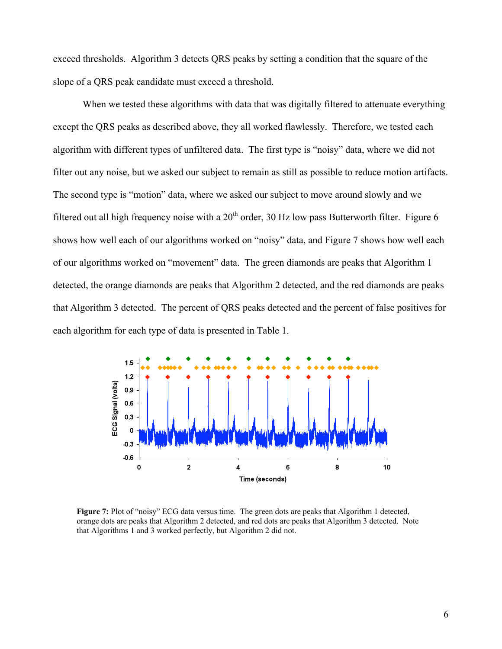exceed thresholds. Algorithm 3 detects QRS peaks by setting a condition that the square of the slope of a QRS peak candidate must exceed a threshold.

When we tested these algorithms with data that was digitally filtered to attenuate everything except the QRS peaks as described above, they all worked flawlessly. Therefore, we tested each algorithm with different types of unfiltered data. The first type is "noisy" data, where we did not filter out any noise, but we asked our subject to remain as still as possible to reduce motion artifacts. The second type is "motion" data, where we asked our subject to move around slowly and we filtered out all high frequency noise with a  $20<sup>th</sup>$  order, 30 Hz low pass Butterworth filter. Figure 6 shows how well each of our algorithms worked on "noisy" data, and Figure 7 shows how well each of our algorithms worked on "movement" data. The green diamonds are peaks that Algorithm 1 detected, the orange diamonds are peaks that Algorithm 2 detected, and the red diamonds are peaks that Algorithm 3 detected. The percent of QRS peaks detected and the percent of false positives for each algorithm for each type of data is presented in Table 1.



**Figure 7:** Plot of "noisy" ECG data versus time. The green dots are peaks that Algorithm 1 detected, orange dots are peaks that Algorithm 2 detected, and red dots are peaks that Algorithm 3 detected. Note that Algorithms 1 and 3 worked perfectly, but Algorithm 2 did not.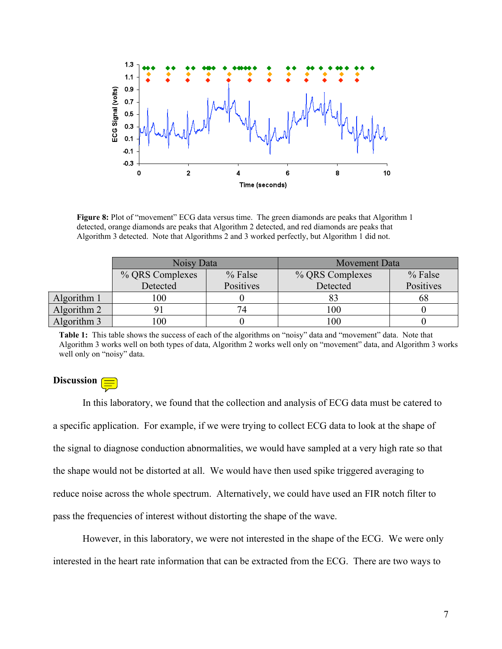

**Figure 8:** Plot of "movement" ECG data versus time. The green diamonds are peaks that Algorithm 1 detected, orange diamonds are peaks that Algorithm 2 detected, and red diamonds are peaks that Algorithm 3 detected. Note that Algorithms 2 and 3 worked perfectly, but Algorithm 1 did not.

|             | Noisy Data      |           | Movement Data   |           |
|-------------|-----------------|-----------|-----------------|-----------|
|             | % QRS Complexes | % False   | % QRS Complexes | $%$ False |
|             | Detected        | Positives | Detected        | Positives |
| Algorithm 1 | 00              |           |                 | ხŏ        |
| Algorithm 2 |                 | 74        | 100             |           |
| Algorithm 3 | 00              |           | 100             |           |

**Table 1:** This table shows the success of each of the algorithms on "noisy" data and "movement" data. Note that Algorithm 3 works well on both types of data, Algorithm 2 works well only on "movement" data, and Algorithm 3 works well only on "noisy" data.

### **Discussion**

In this laboratory, we found that the collection and analysis of ECG data must be catered to a specific application. For example, if we were trying to collect ECG data to look at the shape of the signal to diagnose conduction abnormalities, we would have sampled at a very high rate so that the shape would not be distorted at all. We would have then used spike triggered averaging to reduce noise across the whole spectrum. Alternatively, we could have used an FIR notch filter to pass the frequencies of interest without distorting the shape of the wave.

However, in this laboratory, we were not interested in the shape of the ECG. We were only interested in the heart rate information that can be extracted from the ECG. There are two ways to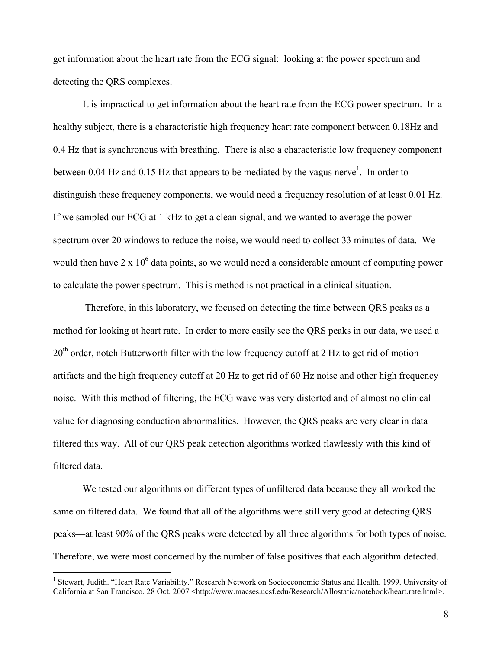get information about the heart rate from the ECG signal: looking at the power spectrum and detecting the QRS complexes.

It is impractical to get information about the heart rate from the ECG power spectrum. In a healthy subject, there is a characteristic high frequency heart rate component between 0.18Hz and 0.4 Hz that is synchronous with breathing. There is also a characteristic low frequency component between 0.04 Hz and 0.15 Hz that appears to be mediated by the vagus nerve<sup>1</sup>. In order to distinguish these frequency components, we would need a frequency resolution of at least 0.01 Hz. If we sampled our ECG at 1 kHz to get a clean signal, and we wanted to average the power spectrum over 20 windows to reduce the noise, we would need to collect 33 minutes of data. We would then have  $2 \times 10^6$  data points, so we would need a considerable amount of computing power to calculate the power spectrum. This is method is not practical in a clinical situation.

Therefore, in this laboratory, we focused on detecting the time between QRS peaks as a method for looking at heart rate. In order to more easily see the QRS peaks in our data, we used a 20<sup>th</sup> order, notch Butterworth filter with the low frequency cutoff at 2 Hz to get rid of motion artifacts and the high frequency cutoff at 20 Hz to get rid of 60 Hz noise and other high frequency noise. With this method of filtering, the ECG wave was very distorted and of almost no clinical value for diagnosing conduction abnormalities. However, the QRS peaks are very clear in data filtered this way. All of our QRS peak detection algorithms worked flawlessly with this kind of filtered data.

We tested our algorithms on different types of unfiltered data because they all worked the same on filtered data. We found that all of the algorithms were still very good at detecting QRS peaks—at least 90% of the QRS peaks were detected by all three algorithms for both types of noise. Therefore, we were most concerned by the number of false positives that each algorithm detected.

 $\frac{1}{1}$ <sup>1</sup> Stewart, Judith. "Heart Rate Variability." Research Network on Socioeconomic Status and Health. 1999. University of California at San Francisco. 28 Oct. 2007 <http://www.macses.ucsf.edu/Research/Allostatic/notebook/heart.rate.html>.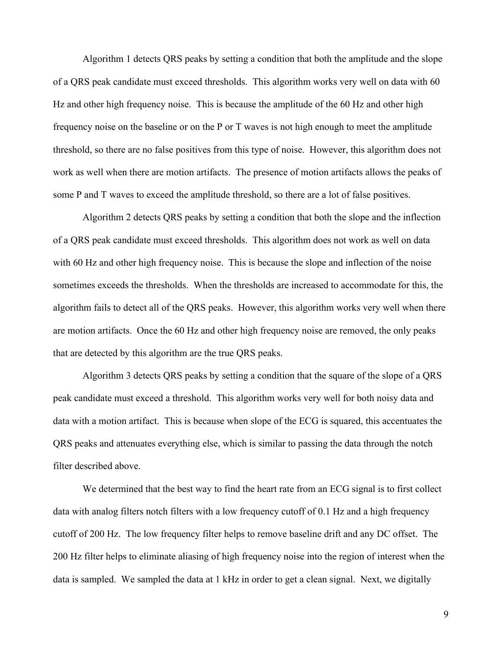Algorithm 1 detects QRS peaks by setting a condition that both the amplitude and the slope of a QRS peak candidate must exceed thresholds. This algorithm works very well on data with 60 Hz and other high frequency noise. This is because the amplitude of the 60 Hz and other high frequency noise on the baseline or on the P or T waves is not high enough to meet the amplitude threshold, so there are no false positives from this type of noise. However, this algorithm does not work as well when there are motion artifacts. The presence of motion artifacts allows the peaks of some P and T waves to exceed the amplitude threshold, so there are a lot of false positives.

Algorithm 2 detects QRS peaks by setting a condition that both the slope and the inflection of a QRS peak candidate must exceed thresholds. This algorithm does not work as well on data with 60 Hz and other high frequency noise. This is because the slope and inflection of the noise sometimes exceeds the thresholds. When the thresholds are increased to accommodate for this, the algorithm fails to detect all of the QRS peaks. However, this algorithm works very well when there are motion artifacts. Once the 60 Hz and other high frequency noise are removed, the only peaks that are detected by this algorithm are the true QRS peaks.

Algorithm 3 detects QRS peaks by setting a condition that the square of the slope of a QRS peak candidate must exceed a threshold. This algorithm works very well for both noisy data and data with a motion artifact. This is because when slope of the ECG is squared, this accentuates the QRS peaks and attenuates everything else, which is similar to passing the data through the notch filter described above.

We determined that the best way to find the heart rate from an ECG signal is to first collect data with analog filters notch filters with a low frequency cutoff of 0.1 Hz and a high frequency cutoff of 200 Hz. The low frequency filter helps to remove baseline drift and any DC offset. The 200 Hz filter helps to eliminate aliasing of high frequency noise into the region of interest when the data is sampled. We sampled the data at 1 kHz in order to get a clean signal. Next, we digitally

9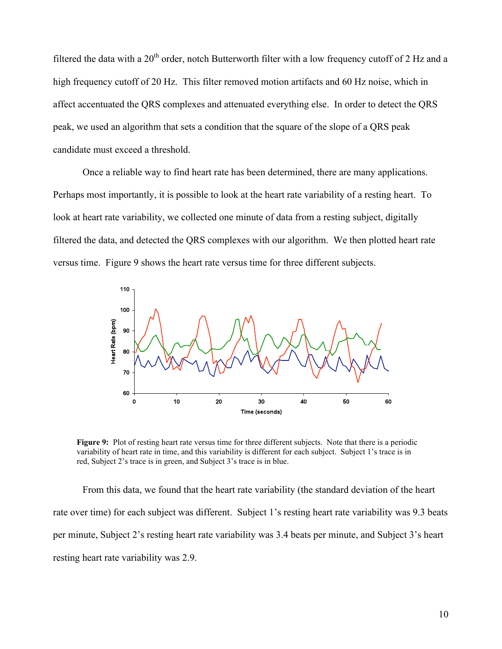filtered the data with a  $20<sup>th</sup>$  order, notch Butterworth filter with a low frequency cutoff of 2 Hz and a high frequency cutoff of 20 Hz. This filter removed motion artifacts and 60 Hz noise, which in affect accentuated the QRS complexes and attenuated everything else. In order to detect the QRS peak, we used an algorithm that sets a condition that the square of the slope of a QRS peak candidate must exceed a threshold.

Once a reliable way to find heart rate has been determined, there are many applications. Perhaps most importantly, it is possible to look at the heart rate variability of a resting heart. To look at heart rate variability, we collected one minute of data from a resting subject, digitally filtered the data, and detected the QRS complexes with our algorithm. We then plotted heart rate versus time. Figure 9 shows the heart rate versus time for three different subjects.



**Figure 9:** Plot of resting heart rate versus time for three different subjects. Note that there is a periodic variability of heart rate in time, and this variability is different for each subject. Subject 1's trace is in red, Subject 2's trace is in green, and Subject 3's trace is in blue.

From this data, we found that the heart rate variability (the standard deviation of the heart rate over time) for each subject was different. Subject 1's resting heart rate variability was 9.3 beats per minute, Subject 2's resting heart rate variability was 3.4 beats per minute, and Subject 3's heart resting heart rate variability was 2.9.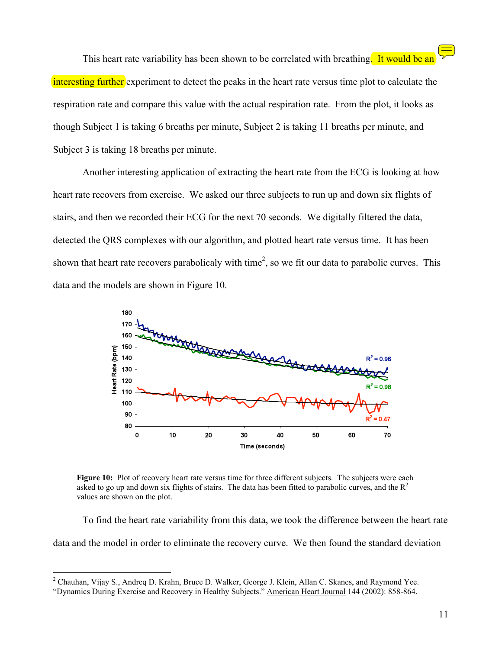This heart rate variability has been shown to be correlated with breathing. It would be an interesting further experiment to detect the peaks in the heart rate versus time plot to calculate the respiration rate and compare this value with the actual respiration rate. From the plot, it looks as though Subject 1 is taking 6 breaths per minute, Subject 2 is taking 11 breaths per minute, and Subject 3 is taking 18 breaths per minute.

Another interesting application of extracting the heart rate from the ECG is looking at how heart rate recovers from exercise. We asked our three subjects to run up and down six flights of stairs, and then we recorded their ECG for the next 70 seconds. We digitally filtered the data, detected the QRS complexes with our algorithm, and plotted heart rate versus time. It has been shown that heart rate recovers parabolicaly with time<sup>2</sup>, so we fit our data to parabolic curves. This data and the models are shown in Figure 10.



**Figure 10:** Plot of recovery heart rate versus time for three different subjects. The subjects were each asked to go up and down six flights of stairs. The data has been fitted to parabolic curves, and the  $R^2$ values are shown on the plot.

To find the heart rate variability from this data, we took the difference between the heart rate data and the model in order to eliminate the recovery curve. We then found the standard deviation

 $\frac{1}{2}$ <sup>2</sup> Chauhan, Vijay S., Andreg D. Krahn, Bruce D. Walker, George J. Klein, Allan C. Skanes, and Raymond Yee.

<sup>&</sup>quot;Dynamics During Exercise and Recovery in Healthy Subjects." American Heart Journal 144 (2002): 858-864.